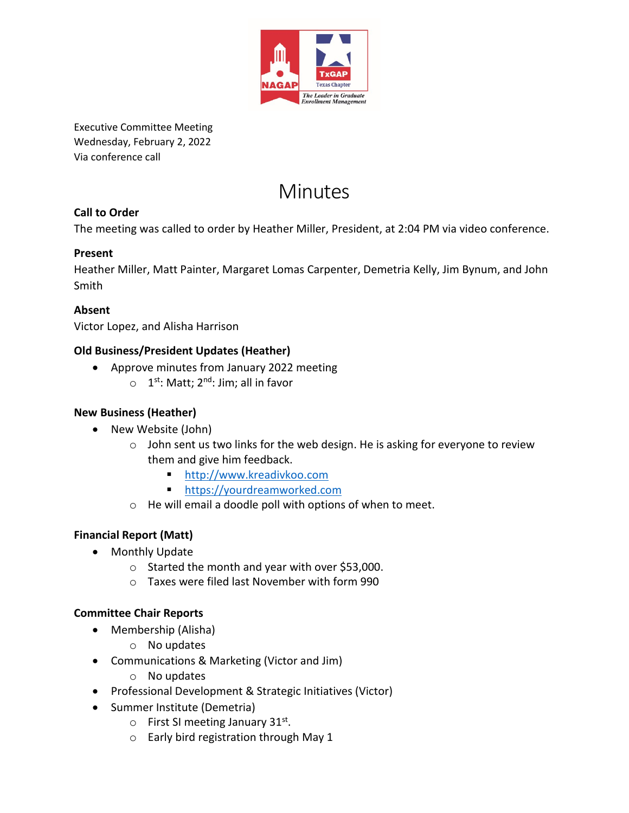

Executive Committee Meeting Wednesday, February 2, 2022 Via conference call

# **Minutes**

# **Call to Order**

The meeting was called to order by Heather Miller, President, at 2:04 PM via video conference.

# **Present**

Heather Miller, Matt Painter, Margaret Lomas Carpenter, Demetria Kelly, Jim Bynum, and John Smith

## **Absent**

Victor Lopez, and Alisha Harrison

## **Old Business/President Updates (Heather)**

- Approve minutes from January 2022 meeting
	- o 1<sup>st</sup>: Matt; 2<sup>nd</sup>: Jim; all in favor

# **New Business (Heather)**

- New Website (John)
	- o John sent us two links for the web design. He is asking for everyone to review them and give him feedback.
		- [http://www.kreadivkoo.com](http://www.kreadivkoo.com/)
		- [https://yourdreamworked.com](https://yourdreamworked.com/)
	- o He will email a doodle poll with options of when to meet.

# **Financial Report (Matt)**

- Monthly Update
	- o Started the month and year with over \$53,000.
	- o Taxes were filed last November with form 990

#### **Committee Chair Reports**

- Membership (Alisha)
	- o No updates
- Communications & Marketing (Victor and Jim)
	- o No updates
- Professional Development & Strategic Initiatives (Victor)
- Summer Institute (Demetria)
	- $\circ$  First SI meeting January 31st.
	- o Early bird registration through May 1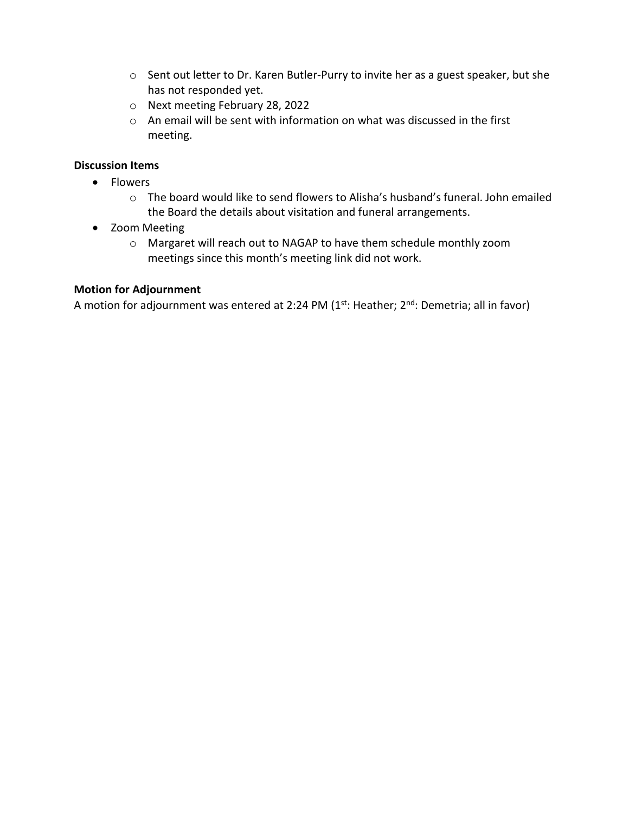- o Sent out letter to Dr. Karen Butler-Purry to invite her as a guest speaker, but she has not responded yet.
- o Next meeting February 28, 2022
- o An email will be sent with information on what was discussed in the first meeting.

#### **Discussion Items**

- Flowers
	- $\circ$  The board would like to send flowers to Alisha's husband's funeral. John emailed the Board the details about visitation and funeral arrangements.
- Zoom Meeting
	- o Margaret will reach out to NAGAP to have them schedule monthly zoom meetings since this month's meeting link did not work.

#### **Motion for Adjournment**

A motion for adjournment was entered at 2:24 PM  $(1<sup>st</sup>: Heather; 2<sup>nd</sup>: Demetria; all in favor)$